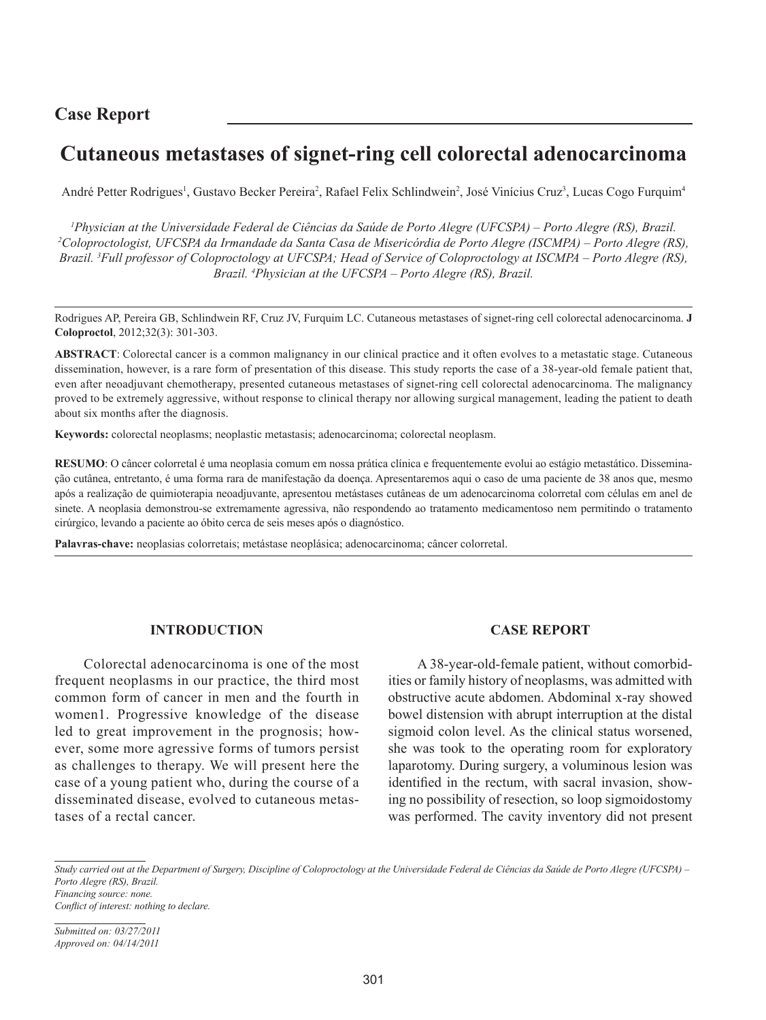# **Case Report**

# **Cutaneous metastases of signet-ring cell colorectal adenocarcinoma**

André Petter Rodrigues<sup>1</sup>, Gustavo Becker Pereira<sup>2</sup>, Rafael Felix Schlindwein<sup>2</sup>, José Vinícius Cruz<sup>3</sup>, Lucas Cogo Furquim<sup>4</sup>

*1 Physician at the Universidade Federal de Ciências da Saúde de Porto Alegre (UFCSPA) – Porto Alegre (RS), Brazil. 2 Coloproctologist, UFCSPA da Irmandade da Santa Casa de Misericórdia de Porto Alegre (ISCMPA) – Porto Alegre (RS), Brazil. 3 Full professor of Coloproctology at UFCSPA; Head of Service of Coloproctology at ISCMPA – Porto Alegre (RS), Brazil. 4 Physician at the UFCSPA – Porto Alegre (RS), Brazil.*

Rodrigues AP, Pereira GB, Schlindwein RF, Cruz JV, Furquim LC. Cutaneous metastases of signet-ring cell colorectal adenocarcinoma. **J Coloproctol**, 2012;32(3): 301-303.

**ABSTRACT**: Colorectal cancer is a common malignancy in our clinical practice and it often evolves to a metastatic stage. Cutaneous dissemination, however, is a rare form of presentation of this disease. This study reports the case of a 38-year-old female patient that, even after neoadjuvant chemotherapy, presented cutaneous metastases of signet-ring cell colorectal adenocarcinoma. The malignancy proved to be extremely aggressive, without response to clinical therapy nor allowing surgical management, leading the patient to death about six months after the diagnosis.

**Keywords:** colorectal neoplasms; neoplastic metastasis; adenocarcinoma; colorectal neoplasm.

**RESUMO**: O câncer colorretal é uma neoplasia comum em nossa prática clínica e frequentemente evolui ao estágio metastático. Disseminação cutânea, entretanto, é uma forma rara de manifestação da doença. Apresentaremos aqui o caso de uma paciente de 38 anos que, mesmo após a realização de quimioterapia neoadjuvante, apresentou metástases cutâneas de um adenocarcinoma colorretal com células em anel de sinete. A neoplasia demonstrou-se extremamente agressiva, não respondendo ao tratamento medicamentoso nem permitindo o tratamento cirúrgico, levando a paciente ao óbito cerca de seis meses após o diagnóstico.

**Palavras-chave:** neoplasias colorretais; metástase neoplásica; adenocarcinoma; câncer colorretal.

## **INTRODUCTION**

Colorectal adenocarcinoma is one of the most frequent neoplasms in our practice, the third most common form of cancer in men and the fourth in women1. Progressive knowledge of the disease led to great improvement in the prognosis; however, some more agressive forms of tumors persist as challenges to therapy. We will present here the case of a young patient who, during the course of a disseminated disease, evolved to cutaneous metastases of a rectal cancer.

### **CASE REPORT**

A 38-year-old-female patient, without comorbidities or family history of neoplasms, was admitted with obstructive acute abdomen. Abdominal x-ray showed bowel distension with abrupt interruption at the distal sigmoid colon level. As the clinical status worsened, she was took to the operating room for exploratory laparotomy. During surgery, a voluminous lesion was identified in the rectum, with sacral invasion, showing no possibility of resection, so loop sigmoidostomy was performed. The cavity inventory did not present

*Conflict of interest: nothing to declare.*

*Submitted on: 03/27/2011 Approved on: 04/14/2011*

*Study carried out at the Department of Surgery, Discipline of Coloproctology at the Universidade Federal de Ciências da Saúde de Porto Alegre (UFCSPA) – Porto Alegre (RS), Brazil. Financing source: none.*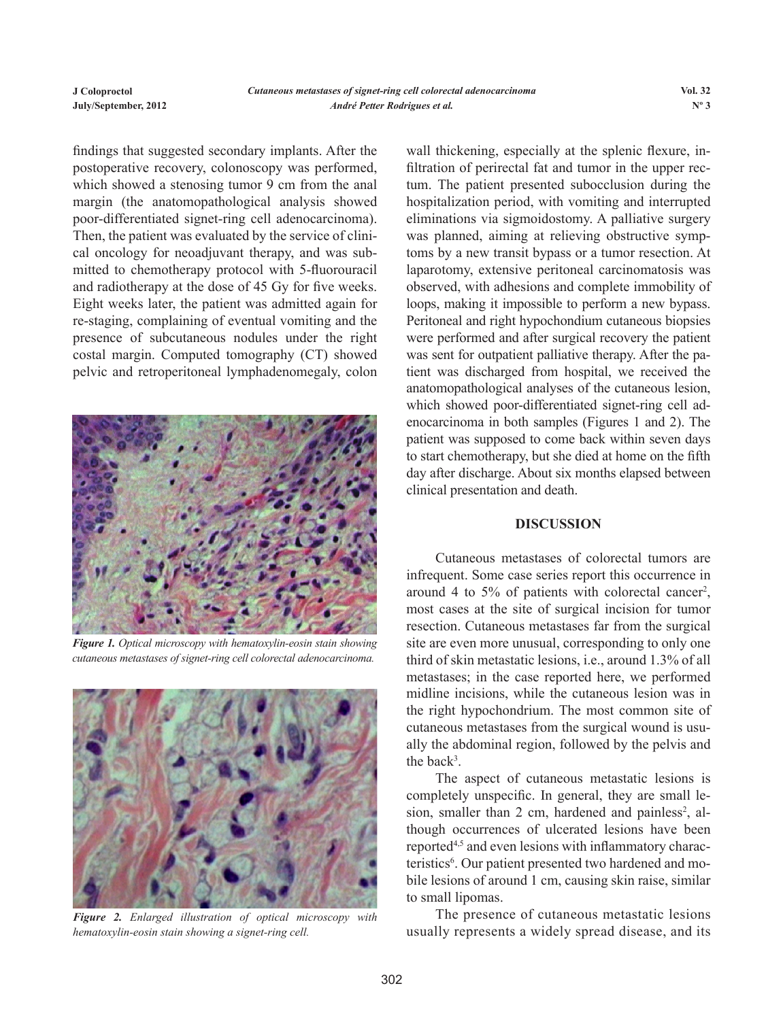findings that suggested secondary implants. After the postoperative recovery, colonoscopy was performed, which showed a stenosing tumor 9 cm from the anal margin (the anatomopathological analysis showed poor-differentiated signet-ring cell adenocarcinoma). Then, the patient was evaluated by the service of clinical oncology for neoadjuvant therapy, and was submitted to chemotherapy protocol with 5-fluorouracil and radiotherapy at the dose of 45 Gy for five weeks. Eight weeks later, the patient was admitted again for re-staging, complaining of eventual vomiting and the presence of subcutaneous nodules under the right costal margin. Computed tomography (CT) showed pelvic and retroperitoneal lymphadenomegaly, colon



*Figure 1. Optical microscopy with hematoxylin-eosin stain showing cutaneous metastases of signet-ring cell colorectal adenocarcinoma.*



*Figure 2. Enlarged illustration of optical microscopy with hematoxylin-eosin stain showing a signet-ring cell.*

wall thickening, especially at the splenic flexure, infiltration of perirectal fat and tumor in the upper rectum. The patient presented subocclusion during the hospitalization period, with vomiting and interrupted eliminations via sigmoidostomy. A palliative surgery was planned, aiming at relieving obstructive symptoms by a new transit bypass or a tumor resection. At laparotomy, extensive peritoneal carcinomatosis was observed, with adhesions and complete immobility of loops, making it impossible to perform a new bypass. Peritoneal and right hypochondium cutaneous biopsies were performed and after surgical recovery the patient was sent for outpatient palliative therapy. After the patient was discharged from hospital, we received the anatomopathological analyses of the cutaneous lesion, which showed poor-differentiated signet-ring cell adenocarcinoma in both samples (Figures 1 and 2). The patient was supposed to come back within seven days to start chemotherapy, but she died at home on the fifth day after discharge. About six months elapsed between clinical presentation and death.

### **DISCUSSION**

Cutaneous metastases of colorectal tumors are infrequent. Some case series report this occurrence in around 4 to 5% of patients with colorectal cancer<sup>2</sup>, most cases at the site of surgical incision for tumor resection. Cutaneous metastases far from the surgical site are even more unusual, corresponding to only one third of skin metastatic lesions, i.e., around 1.3% of all metastases; in the case reported here, we performed midline incisions, while the cutaneous lesion was in the right hypochondrium. The most common site of cutaneous metastases from the surgical wound is usually the abdominal region, followed by the pelvis and the back<sup>3</sup>.

The aspect of cutaneous metastatic lesions is completely unspecific. In general, they are small lesion, smaller than 2 cm, hardened and painless<sup>2</sup>, although occurrences of ulcerated lesions have been reported4,5 and even lesions with inflammatory characteristics<sup>6</sup>. Our patient presented two hardened and mobile lesions of around 1 cm, causing skin raise, similar to small lipomas.

The presence of cutaneous metastatic lesions usually represents a widely spread disease, and its